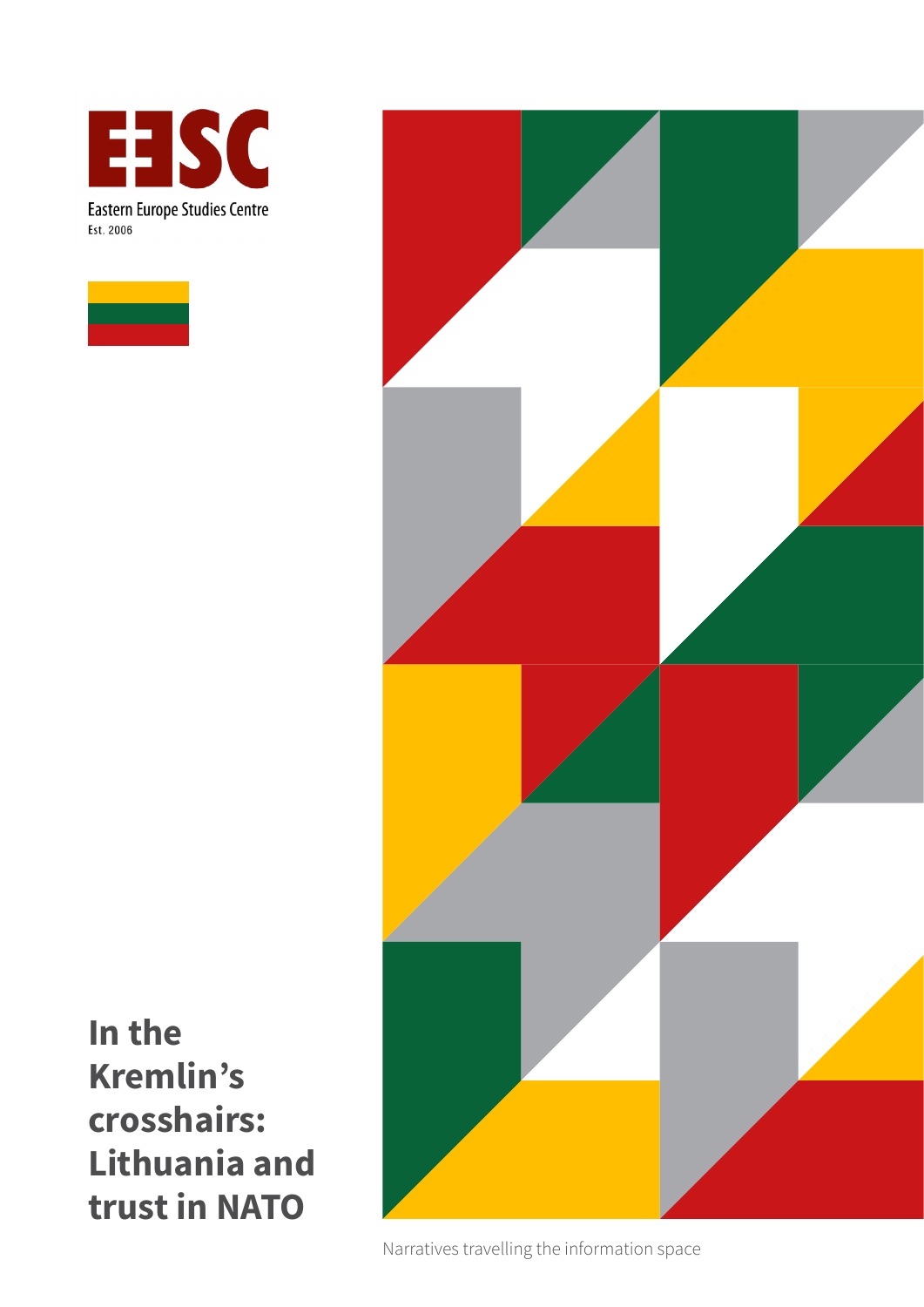





**In the Kremlin's crosshairs: Lithuania and trust in NATO** 

Narratives travelling the information space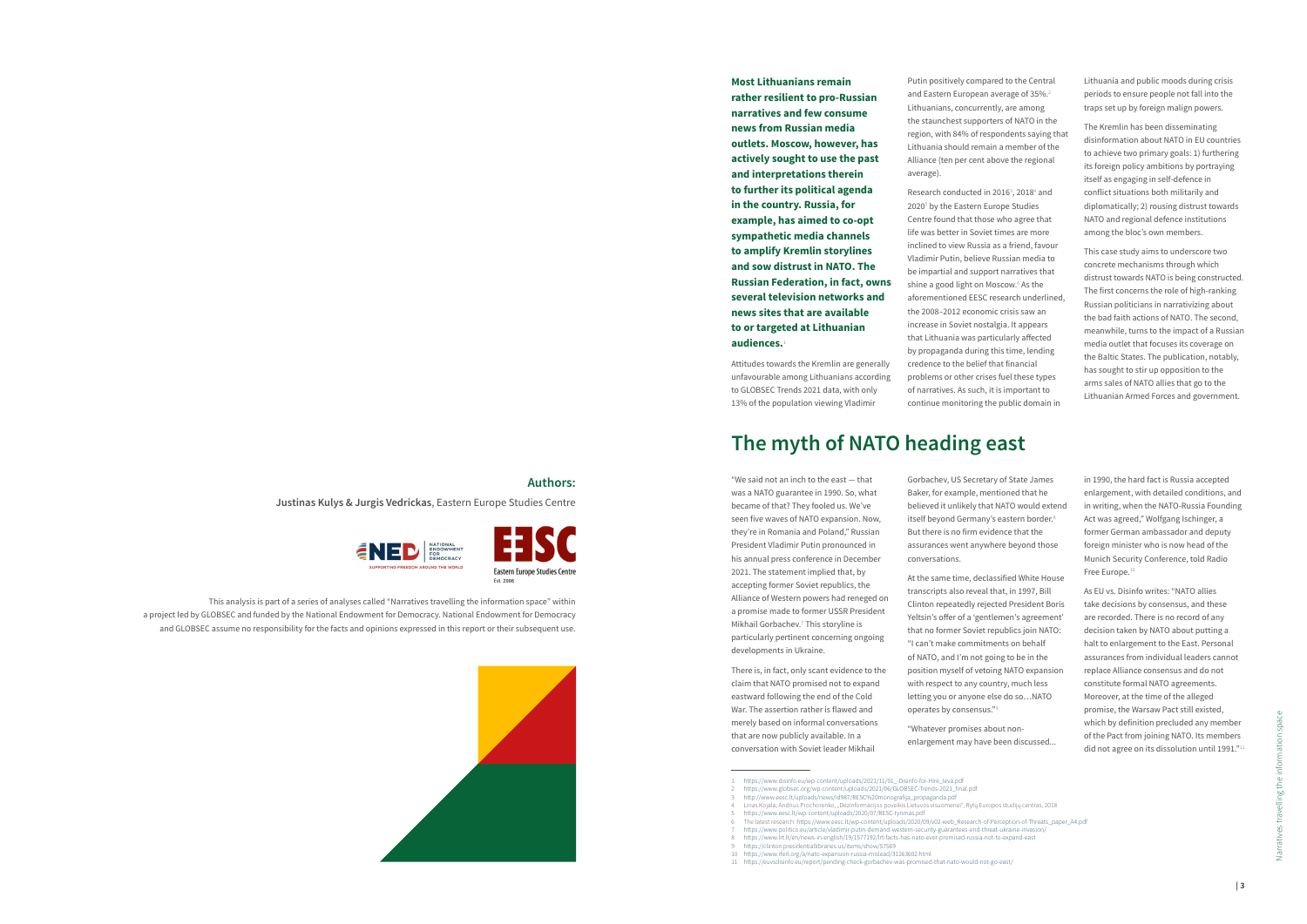**Most Lithuanians remain rather resilient to pro-Russian narratives and few consume news from Russian media outlets. Moscow, however, has actively sought to use the past and interpretations therein to further its political agenda in the country. Russia, for example, has aimed to co-opt sympathetic media channels to amplify Kremlin storylines and sow distrust in NATO. The Russian Federation, in fact, owns several television networks and news sites that are available to or targeted at Lithuanian audiences.**<sup>1</sup>

Attitudes towards the Kremlin are generally unfavourable among Lithuanians according to GLOBSEC Trends 2021 data, with only 13% of the population viewing Vladimir

Research conducted in 2016<sup>3</sup>, 2018<sup>4</sup> and 2020<sup>5</sup> by the Eastern Europe Studies Centre found that those who agree that life was better in Soviet times are more inclined to view Russia as a friend, favour Vladimir Putin, believe Russian media to be impartial and support narratives that shine a good light on Moscow.<sup>6</sup> As the aforementioned EESC research underlined, the 2008–2012 economic crisis saw an increase in Soviet nostalgia. It appears that Lithuania was particularly affected by propaganda during this time, lending credence to the belief that financial problems or other crises fuel these types of narratives. As such, it is important to continue monitoring the public domain in

11 <https://euvsdisinfo.eu/report/pending-check-gorbachev-was-promised-that-nato-would-not-go-east/>

Putin positively compared to the Central and Eastern European average of 35%.<sup>2</sup> Lithuanians, concurrently, are among the staunchest supporters of NATO in the region, with 84% of respondents saying that Lithuania should remain a member of the Alliance (ten per cent above the regional average).

> in 1990, the hard fact is Russia accepted enlargement, with detailed conditions, and in writing, when the NATO-Russia Founding Act was agreed," Wolfgang Ischinger, a former German ambassador and deputy foreign minister who is now head of the Munich Security Conference, told Radio Free Europe.

Lithuania and public moods during crisis periods to ensure people not fall into the traps set up by foreign malign powers.

As EU vs. Disinfo writes: "NATO allies take decisions by consensus, and these are recorded. There is no record of any decision taken by NATO about putting a halt to enlargement to the East. Personal assurances from individual leaders cannot replace Alliance consensus and do not constitute formal NATO agreements. Moreover, at the time of the alleged promise, the Warsaw Pact still existed, which by definition precluded any member of the Pact from joining NATO. Its members did not agree on its dissolution until 1991."<sup>11</sup>

The Kremlin has been disseminating disinformation about NATO in EU countries to achieve two primary goals: 1) furthering its foreign policy ambitions by portraying itself as engaging in self-defence in conflict situations both militarily and diplomatically; 2) rousing distrust towards NATO and regional defence institutions among the bloc's own members.

This case study aims to underscore two concrete mechanisms through which distrust towards NATO is being constructed. The first concerns the role of high-ranking Russian politicians in narrativizing about the bad faith actions of NATO. The second, meanwhile, turns to the impact of a Russian media outlet that focuses its coverage on the Baltic States. The publication, notably, has sought to stir up opposition to the arms sales of NATO allies that go to the Lithuanian Armed Forces and government.

# **The myth of NATO heading east**

"We said not an inch to the east — that was a NATO guarantee in 1990. So, what became of that? They fooled us. We've seen five waves of NATO expansion. Now, they're in Romania and Poland," Russian President Vladimir Putin pronounced in his annual press conference in December 2021. The statement implied that, by accepting former Soviet republics, the Alliance of Western powers had reneged on a promise made to former USSR President Mikhail Gorbachev.<sup>7</sup> This storyline is particularly pertinent concerning ongoing developments in Ukraine.

There is, in fact, only scant evidence to the claim that NATO promised not to expand eastward following the end of the Cold War. The assertion rather is flawed and merely based on informal conversations that are now publicly available. In a conversation with Soviet leader Mikhail

Gorbachev, US Secretary of State James Baker, for example, mentioned that he believed it unlikely that NATO would extend itself beyond Germany's eastern border.<sup>8</sup> But there is no firm evidence that the assurances went anywhere beyond those conversations.

At the same time, declassified White House transcripts also reveal that, in 1997, Bill Clinton repeatedly rejected President Boris Yeltsin's offer of a 'gentlemen's agreement' that no former Soviet republics join NATO: "I can't make commitments on behalf of NATO, and I'm not going to be in the position myself of vetoing NATO expansion with respect to any country, much less letting you or anyone else do so…NATO operates by consensus."<sup>9</sup>

"Whatever promises about nonenlargement may have been discussed...

### **Authors:**

**Justinas Kulys & Jurgis Vedrickas**, Eastern Europe Studies Centre







This analysis is part of a series of analyses called "Narratives travelling the information space" within

a project led by GLOBSEC and funded by the National Endowment for Democracy. National Endowment for Democracy and GLOBSEC assume no responsibility for the facts and opinions expressed in this report or their subsequent use.



<sup>1</sup> [https://www.disinfo.eu/wp-content/uploads/2021/11/01\\_-Disinfo-for-Hire\\_Ieva.pdf](https://www.disinfo.eu/wp-content/uploads/2021/11/01_-Disinfo-for-Hire_Ieva.pdf) 2 [https://www.globsec.org/wp-content/uploads/2021/06/GLOBSEC-Trends-2021\\_final.pdf](https://www.globsec.org/wp-content/uploads/2021/06/GLOBSEC-Trends-2021_final.pdf)

<sup>3</sup> [http://www.eesc.lt/uploads/news/id987/RESC%20monografija\\_propaganda.pdf](http://www.eesc.lt/uploads/news/id987/RESC%20monografija_propaganda.pdf)

<sup>4</sup> Linas Kojala, Andrius Prochorenko, "Dezinformacijos poveikis Lietuvos visuomenei", Rytų Europos studijų centras, 2018 5 <https://www.eesc.lt/wp-content/uploads/2020/07/RESC-tyrimas.pdf>

<sup>6</sup> The latest research: [https://www.eesc.lt/wp-content/uploads/2020/09/v02-web\\_Research-of-Perception-of-Threats\\_paper\\_A4.pdf](https://www.eesc.lt/wp-content/uploads/2020/09/v02-web_Research-of-Perception-of-Threats_paper_A4.pdf)

<sup>7</sup> <https://www.politico.eu/article/vladimir-putin-demand-western-security-guarantees-end-threat-ukraine-invasion/> 8 <https://www.lrt.lt/en/news-in-english/19/1577192/lrt-facts-has-nato-ever-promised-russia-not-to-expand-east>

<sup>9</sup> <https://clinton.presidentiallibraries.us/items/show/57569>

<sup>10</sup> <https://www.rferl.org/a/nato-expansion-russia-mislead/31263602.html>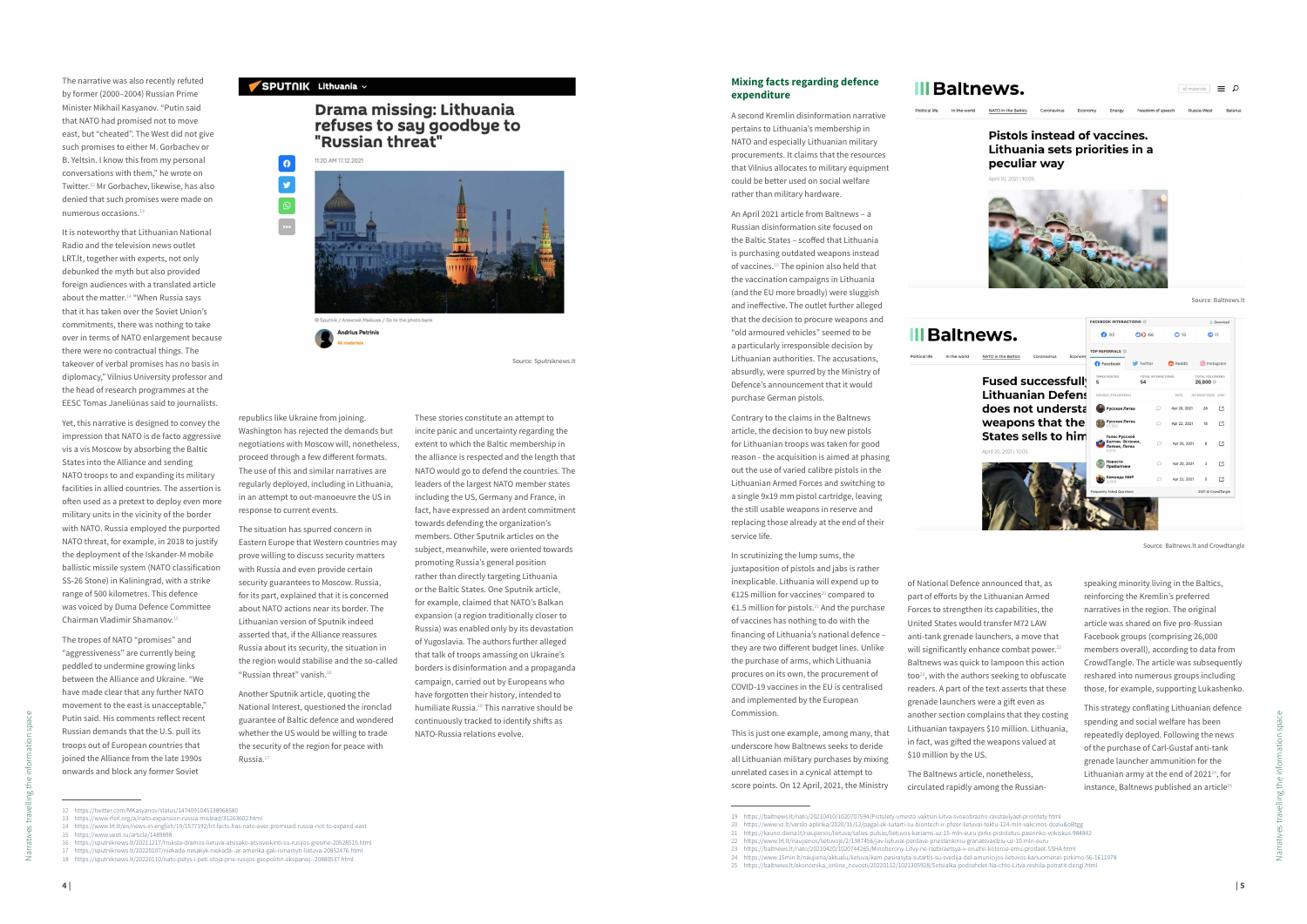# **III Baltnews.**

Political life In the world

#### **Mixing facts regarding defence expenditure**

A second Kremlin disinformation narrative pertains to Lithuania's membership in NATO and especially Lithuanian military procurements. It claims that the resources that Vilnius allocates to military equipment could be better used on social welfare rather than military hardware.

An April 2021 article from Baltnews – a Russian disinformation site focused on the Baltic States – scoffed that Lithuania is purchasing outdated weapons instead of vaccines.<sup>19</sup> The opinion also held that the vaccination campaigns in Lithuania (and the EU more broadly) were sluggish and ineffective. The outlet further alleged that the decision to procure weapons and "old armoured vehicles" seemed to be a particularly irresponsible decision by Lithuanian authorities. The accusations, absurdly, were spurred by the Ministry of

Defence's announcement that it would

purchase German pistols.

Contrary to the claims in the Baltnews article, the decision to buy new pistols for Lithuanian troops was taken for good reason - the acquisition is aimed at phasing out the use of varied calibre pistols in the Lithuanian Armed Forces and switching to a single 9x19 mm pistol cartridge, leaving the still usable weapons in reserve and replacing those already at the end of their service life.

> of National Defence announced that, as part of efforts by the Lithuanian Armed Forces to strengthen its capabilities, the United States would transfer M72 LAW anti-tank grenade launchers, a move that will significantly enhance combat power.<sup>22</sup> Baltnews was quick to lampoon this action too<sup>23</sup>, with the authors seeking to obfuscate readers. A part of the text asserts that these grenade launchers were a gift even as another section complains that they costing Lithuanian taxpayers \$10 million. Lithuania, in fact, was gifted the weapons valued at \$10 million by the US.

In scrutinizing the lump sums, the juxtaposition of pistols and jabs is rather inexplicable. Lithuania will expend up to €125 million for vaccines<sup>20</sup> compared to €1.5 million for pistols.<sup>21</sup> And the purchase of vaccines has nothing to do with the financing of Lithuania's national defence – they are two different budget lines. Unlike the purchase of arms, which Lithuania procures on its own, the procurement of COVID-19 vaccines in the EU is centralised and implemented by the European Commission.

This strategy conflating Lithuanian defence spending and social welfare has been repeatedly deployed. Following the news of the purchase of Carl-Gustaf anti-tank grenade launcher ammunition for the Lithuanian army at the end of  $2021^{24}$ , for instance, Baltnews published an article<sup>25</sup>

This is just one example, among many, that underscore how Baltnews seeks to deride all Lithuanian military purchases by mixing unrelated cases in a cynical attempt to score points. On 12 April, 2021, the Ministry

The narrative was also recently refuted by former (2000–2004) Russian Prime Minister Mikhail Kasyanov. "Putin said that NATO had promised not to move east, but "cheated". The West did not give such promises to either M. Gorbachev or B. Yeltsin. I know this from my personal conversations with them," he wrote on Twitter.<sup>12</sup> Mr Gorbachev, likewise, has also denied that such promises were made on numerous occasions. $11$ 

| <b>III Baltnews.</b> |              |                     |             |         |        |                   |
|----------------------|--------------|---------------------|-------------|---------|--------|-------------------|
| Political life       | In the world | NATO in the Baltics | Coronavirus | Economy | Energy | freedom of speech |

Il materials  $\Box$ 

## **Pistols instead of vaccines.** Lithuania sets priorities in a peculiar way

April 10, 2021 | 10:0



The Baltnews article, nonetheless, circulated rapidly among the Russian-

speaking minority living in the Baltics, reinforcing the Kremlin's preferred narratives in the region. The original article was shared on five pro-Russian Facebook groups (comprising 26,000 members overall), according to data from CrowdTangle. The article was subsequently reshared into numerous groups including those, for example, supporting Lukashenko.

It is noteworthy that Lithuanian National Radio and the television news outlet LRT.lt, together with experts, not only debunked the myth but also provided foreign audiences with a translated article about the matter. $14$  "When Russia says that it has taken over the Soviet Union's commitments, there was nothing to take over in terms of NATO enlargement because there were no contractual things. The takeover of verbal promises has no basis in diplomacy," Vilnius University professor and the head of research programmes at the EESC Tomas Janeliūnas said to journalists.

Yet, this narrative is designed to convey the impression that NATO is de facto aggressive vis a vis Moscow by absorbing the Baltic States into the Alliance and sending NATO troops to and expanding its military facilities in allied countries. The assertion is often used as a pretext to deploy even more military units in the vicinity of the border with NATO. Russia employed the purported NATO threat, for example, in 2018 to justify the deployment of the Iskander-M mobile ballistic missile system (NATO classification SS-26 Stone) in Kaliningrad, with a strike range of 500 kilometres. This defence was voiced by Duma Defence Committee Chairman Vladimir Shamanov.<sup>15</sup>

The tropes of NATO "promises" and "aggressiveness" are currently being peddled to undermine growing links between the Alliance and Ukraine. "We have made clear that any further NATO movement to the east is unacceptable," Putin said. His comments reflect recent Russian demands that the U.S. pull its troops out of European countries that joined the Alliance from the late 1990s onwards and block any former Soviet

#### SPUTNIK Lithuania v

# Drama missing: Lithuania refuses to say goodbye to "Russian threat"





**Andrius Petrinis** 

16 <https://sputniknews.lt/20211217/truksta-dramos-lietuva-atsisako-atsisveikinti-su-rusijos-gresme-20528515.html>

republics like Ukraine from joining. Washington has rejected the demands but negotiations with Moscow will, nonetheless, proceed through a few different formats. The use of this and similar narratives are regularly deployed, including in Lithuania, in an attempt to out-manoeuvre the US in response to current events.

The situation has spurred concern in Eastern Europe that Western countries may prove willing to discuss security matters with Russia and even provide certain security guarantees to Moscow. Russia, for its part, explained that it is concerned about NATO actions near its border. The Lithuanian version of Sputnik indeed asserted that, if the Alliance reassures Russia about its security, the situation in the region would stabilise and the so-called "Russian threat" vanish.<sup>16</sup>

Another Sputnik article, quoting the National Interest, questioned the ironclad guarantee of Baltic defence and wondered whether the US would be willing to trade the security of the region for peace with Russia.<sup>17</sup>

These stories constitute an attempt to incite panic and uncertainty regarding the extent to which the Baltic membership in the alliance is respected and the length that NATO would go to defend the countries. The leaders of the largest NATO member states including the US, Germany and France, in fact, have expressed an ardent commitment towards defending the organization's members. Other Sputnik articles on the subject, meanwhile, were oriented towards promoting Russia's general position rather than directly targeting Lithuania or the Baltic States. One Sputnik article, for example, claimed that NATO's Balkan expansion (a region traditionally closer to Russia) was enabled only by its devastation of Yugoslavia. The authors further alleged that talk of troops amassing on Ukraine's borders is disinformation and a propaganda campaign, carried out by Europeans who have forgotten their history, intended to humiliate Russia.<sup>18</sup> This narrative should be continuously tracked to identify shifts as NATO-Russia relations evolve.

Source: Sputniknews.lt

Source: Baltnews.lt



Source: Baltnews.lt and Crowdtangle

<sup>19</sup> <https://baltnews.lt/nato/20210410/1020707594/Pistolety-vmesto-vaktsin-Litva-svoeobrazno-rasstavlyaet-prioritety.html> 20 <https://www.vz.lt/verslo-aplinka/2020/11/12/pagal-ek-sutarti-su-biontech-ir-pfizer-lietuvai-tektu-124-mln-vakcinos-doziu&oBtgg>

<sup>21</sup> <https://kauno.diena.lt/naujienos/lietuva/salies-pulsas/lietuvos-kariams-uz-15-mln-euru-pirks-pistoletus-pasirinko-vokiskus-984842>

<sup>22</sup> <https://www.lrt.lt/naujienos/lietuvoje/2/1387456/jav-lietuvai-perdave-priestankiniu-granatsvaidziu-uz-10-mln-euru>

<sup>23</sup> <https://baltnews.lt/nato/20210420/1020744265/Minoborony-Litvy-ne-razbiraetsya-v-oruzhii-kotoroe-emu-prodaet-SSHA.html>

<sup>24</sup> <https://www.15min.lt/naujiena/aktualu/lietuva/kam-pasirasyta-sutartis-su-svedija-del-amunicijos-lietuvos-kariuomenei-pirkimo-56-1611078>

<sup>25</sup> [https://baltnews.lt/ekonomika\\_online\\_novosti/20220112/1021305928/Sotsialka-podozhdet-Na-chto-Litva-reshila-potratit-dengi.html](https://baltnews.lt/ekonomika_online_novosti/20220112/1021305928/Sotsialka-podozhdet-Na-chto-Litva-reshila-potratit-dengi.html)

<sup>12</sup> <https://twitter.com/MKasyanov/status/1474091045138968580>

<sup>13</sup> <https://www.rferl.org/a/nato-expansion-russia-mislead/31263602.html>

<sup>14</sup> <https://www.lrt.lt/en/news-in-english/19/1577192/lrt-facts-has-nato-ever-promised-russia-not-to-expand-east>

<sup>15</sup> [https://www.vesti.ru/article/1489898](https://www.vesti.ru/article/1489898 ) 

<sup>17</sup> <https://sputniknews.lt/20220107/niekada-nesakyk-niekada--ar-amerika-gali-ismainyti-lietuva-20852476.html>

<sup>18</sup> <https://sputniknews.lt/20220110/nato-petys-i-peti-stoja-prie-rusijos-geopolitin-ekspansij--20880537.html>